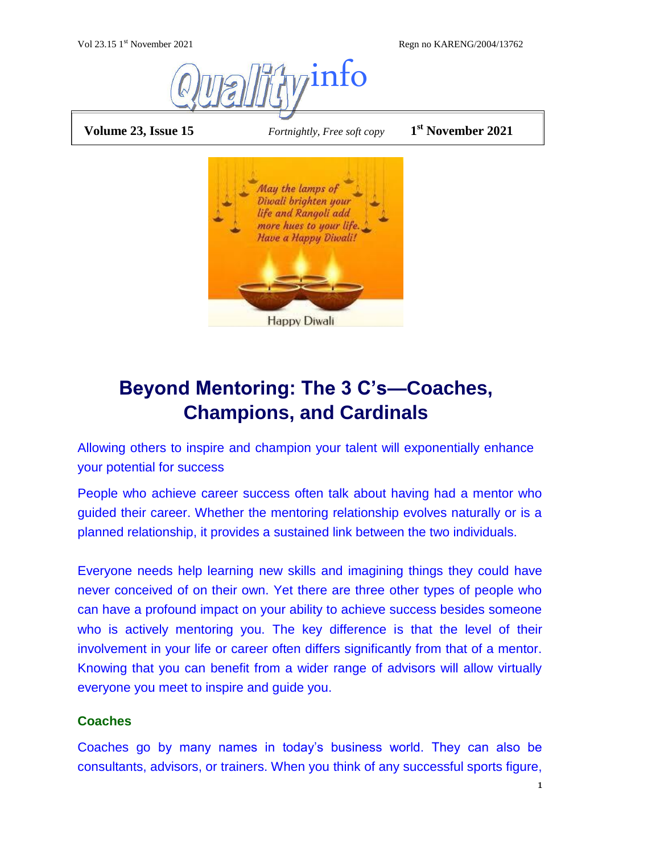

**Volume 23, Issue 15** *Fortnightly, Free soft copy* 

**st November 2021**



# **Beyond Mentoring: The 3 C's—Coaches, Champions, and Cardinals**

Allowing others to inspire and champion your talent will exponentially enhance your potential for success

People who achieve career success often talk about having had a mentor who guided their career. Whether the mentoring relationship evolves naturally or is a planned relationship, it provides a sustained link between the two individuals.

Everyone needs help learning new skills and imagining things they could have never conceived of on their own. Yet there are three other types of people who can have a profound impact on your ability to achieve success besides someone who is actively mentoring you. The key difference is that the level of their involvement in your life or career often differs significantly from that of a mentor. Knowing that you can benefit from a wider range of advisors will allow virtually everyone you meet to inspire and guide you.

## **Coaches**

Coaches go by many names in today's business world. They can also be consultants, advisors, or trainers. When you think of any successful sports figure,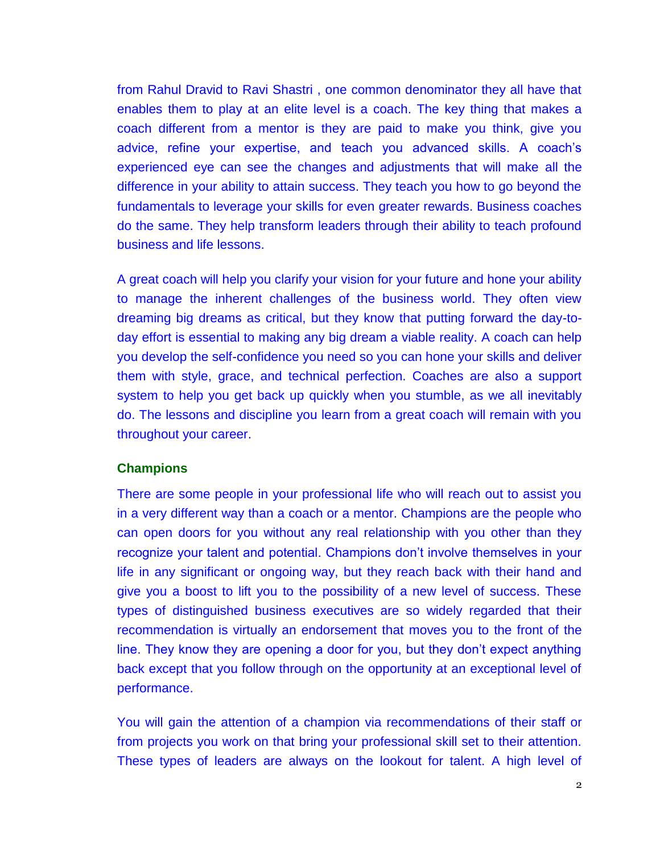from Rahul Dravid to Ravi Shastri , one common denominator they all have that enables them to play at an elite level is a coach. The key thing that makes a coach different from a mentor is they are paid to make you think, give you advice, refine your expertise, and teach you advanced skills. A coach's experienced eye can see the changes and adjustments that will make all the difference in your ability to attain success. They teach you how to go beyond the fundamentals to leverage your skills for even greater rewards. Business coaches do the same. They help transform leaders through their ability to teach profound business and life lessons.

A great coach will help you clarify your vision for your future and hone your ability to manage the inherent challenges of the business world. They often view dreaming big dreams as critical, but they know that putting forward the day-today effort is essential to making any big dream a viable reality. A coach can help you develop the self-confidence you need so you can hone your skills and deliver them with style, grace, and technical perfection. Coaches are also a support system to help you get back up quickly when you stumble, as we all inevitably do. The lessons and discipline you learn from a great coach will remain with you throughout your career.

#### **Champions**

There are some people in your professional life who will reach out to assist you in a very different way than a coach or a mentor. Champions are the people who can open doors for you without any real relationship with you other than they recognize your talent and potential. Champions don't involve themselves in your life in any significant or ongoing way, but they reach back with their hand and give you a boost to lift you to the possibility of a new level of success. These types of distinguished business executives are so widely regarded that their recommendation is virtually an endorsement that moves you to the front of the line. They know they are opening a door for you, but they don't expect anything back except that you follow through on the opportunity at an exceptional level of performance.

You will gain the attention of a champion via recommendations of their staff or from projects you work on that bring your professional skill set to their attention. These types of leaders are always on the lookout for talent. A high level of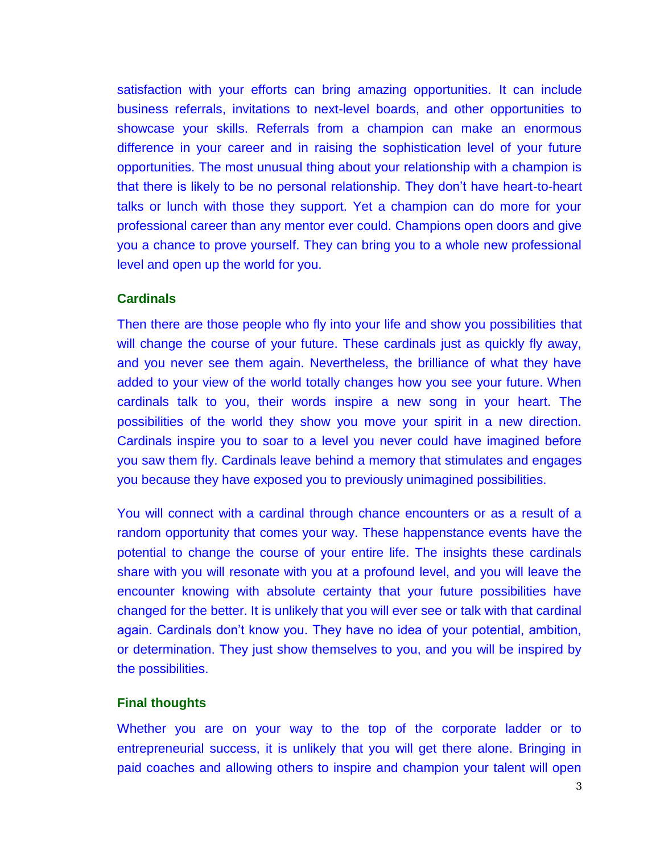satisfaction with your efforts can bring amazing opportunities. It can include business referrals, invitations to next-level boards, and other opportunities to showcase your skills. Referrals from a champion can make an enormous difference in your career and in raising the sophistication level of your future opportunities. The most unusual thing about your relationship with a champion is that there is likely to be no personal relationship. They don't have heart-to-heart talks or lunch with those they support. Yet a champion can do more for your professional career than any mentor ever could. Champions open doors and give you a chance to prove yourself. They can bring you to a whole new professional level and open up the world for you.

### **Cardinals**

Then there are those people who fly into your life and show you possibilities that will change the course of your future. These cardinals just as quickly fly away, and you never see them again. Nevertheless, the brilliance of what they have added to your view of the world totally changes how you see your future. When cardinals talk to you, their words inspire a new song in your heart. The possibilities of the world they show you move your spirit in a new direction. Cardinals inspire you to soar to a level you never could have imagined before you saw them fly. Cardinals leave behind a memory that stimulates and engages you because they have exposed you to previously unimagined possibilities.

You will connect with a cardinal through chance encounters or as a result of a random opportunity that comes your way. These happenstance events have the potential to change the course of your entire life. The insights these cardinals share with you will resonate with you at a profound level, and you will leave the encounter knowing with absolute certainty that your future possibilities have changed for the better. It is unlikely that you will ever see or talk with that cardinal again. Cardinals don't know you. They have no idea of your potential, ambition, or determination. They just show themselves to you, and you will be inspired by the possibilities.

#### **Final thoughts**

Whether you are on your way to the top of the corporate ladder or to entrepreneurial success, it is unlikely that you will get there alone. Bringing in paid coaches and allowing others to inspire and champion your talent will open